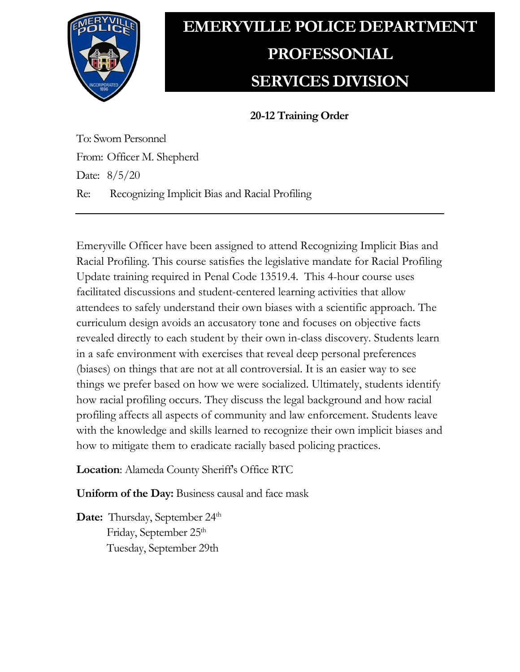

## **EMERYVILLE POLICE DEPARTMENT PROFESSONIAL SERVICES DIVISION**

**20-12 Training Order**

To: Sworn Personnel From: Officer M. Shepherd Date: 8/5/20 Re: Recognizing Implicit Bias and Racial Profiling

Emeryville Officer have been assigned to attend Recognizing Implicit Bias and Racial Profiling. This course satisfies the legislative mandate for Racial Profiling Update training required in Penal Code 13519.4. This 4-hour course uses facilitated discussions and student-centered learning activities that allow attendees to safely understand their own biases with a scientific approach. The curriculum design avoids an accusatory tone and focuses on objective facts revealed directly to each student by their own in-class discovery. Students learn in a safe environment with exercises that reveal deep personal preferences (biases) on things that are not at all controversial. It is an easier way to see things we prefer based on how we were socialized. Ultimately, students identify how racial profiling occurs. They discuss the legal background and how racial profiling affects all aspects of community and law enforcement. Students leave with the knowledge and skills learned to recognize their own implicit biases and how to mitigate them to eradicate racially based policing practices.

**Location**: Alameda County Sheriff's Office RTC

**Uniform of the Day:** Business causal and face mask

**Date:** Thursday, September 24<sup>th</sup> Friday, September 25<sup>th</sup> Tuesday, September 29th